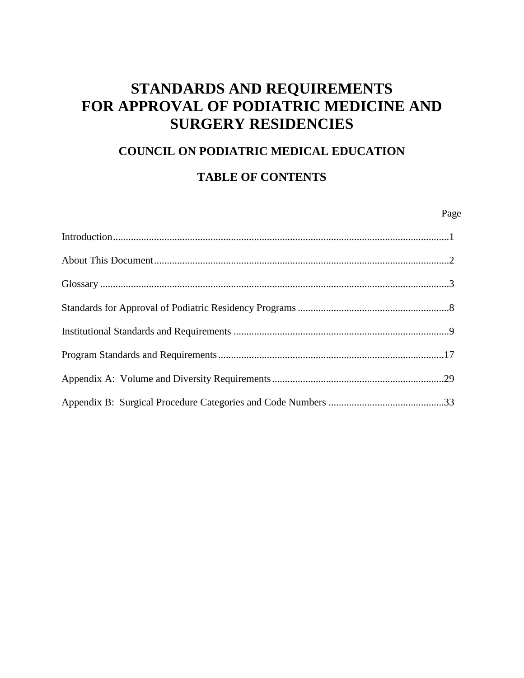# **STANDARDS AND REQUIREMENTS FOR APPROVAL OF PODIATRIC MEDICINE AND SURGERY RESIDENCIES**

### **COUNCIL ON PODIATRIC MEDICAL EDUCATION**

# **TABLE OF CONTENTS**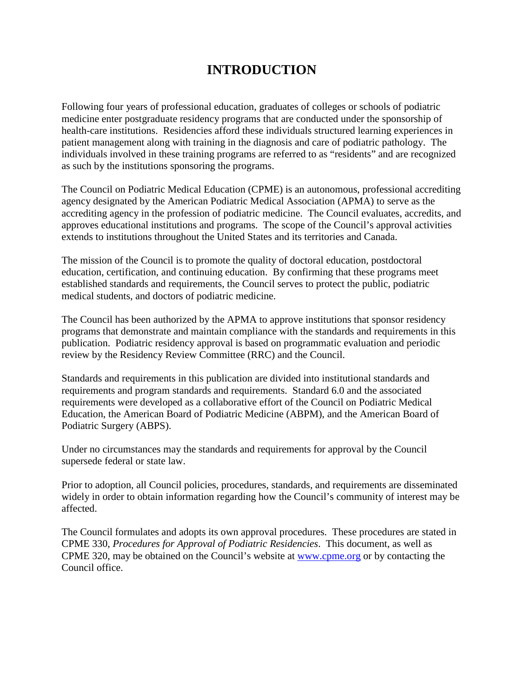# **INTRODUCTION**

Following four years of professional education, graduates of colleges or schools of podiatric medicine enter postgraduate residency programs that are conducted under the sponsorship of health-care institutions. Residencies afford these individuals structured learning experiences in patient management along with training in the diagnosis and care of podiatric pathology. The individuals involved in these training programs are referred to as "residents" and are recognized as such by the institutions sponsoring the programs.

The Council on Podiatric Medical Education (CPME) is an autonomous, professional accrediting agency designated by the American Podiatric Medical Association (APMA) to serve as the accrediting agency in the profession of podiatric medicine. The Council evaluates, accredits, and approves educational institutions and programs. The scope of the Council's approval activities extends to institutions throughout the United States and its territories and Canada.

The mission of the Council is to promote the quality of doctoral education, postdoctoral education, certification, and continuing education. By confirming that these programs meet established standards and requirements, the Council serves to protect the public, podiatric medical students, and doctors of podiatric medicine.

The Council has been authorized by the APMA to approve institutions that sponsor residency programs that demonstrate and maintain compliance with the standards and requirements in this publication. Podiatric residency approval is based on programmatic evaluation and periodic review by the Residency Review Committee (RRC) and the Council.

Standards and requirements in this publication are divided into institutional standards and requirements and program standards and requirements. Standard 6.0 and the associated requirements were developed as a collaborative effort of the Council on Podiatric Medical Education, the American Board of Podiatric Medicine (ABPM), and the American Board of Podiatric Surgery (ABPS).

Under no circumstances may the standards and requirements for approval by the Council supersede federal or state law.

Prior to adoption, all Council policies, procedures, standards, and requirements are disseminated widely in order to obtain information regarding how the Council's community of interest may be affected.

The Council formulates and adopts its own approval procedures. These procedures are stated in CPME 330, *Procedures for Approval of Podiatric Residencies*. This document, as well as CPME 320, may be obtained on the Council's website at [www.cpme.org](http://www.cpme.org/) or by contacting the Council office.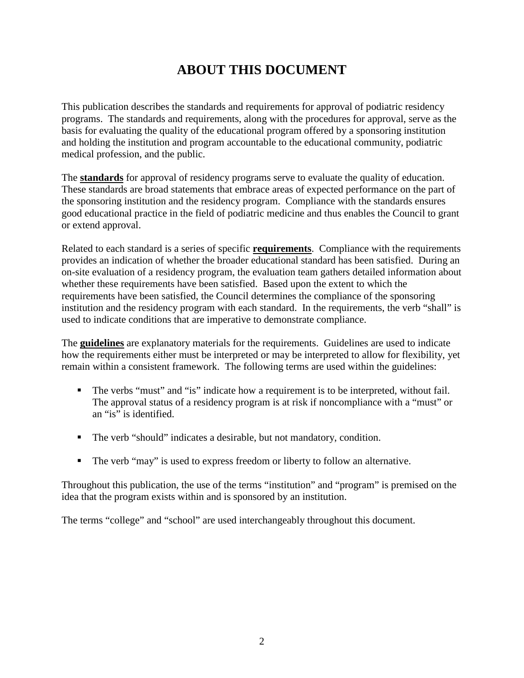# **ABOUT THIS DOCUMENT**

This publication describes the standards and requirements for approval of podiatric residency programs. The standards and requirements, along with the procedures for approval, serve as the basis for evaluating the quality of the educational program offered by a sponsoring institution and holding the institution and program accountable to the educational community, podiatric medical profession, and the public.

The **standards** for approval of residency programs serve to evaluate the quality of education. These standards are broad statements that embrace areas of expected performance on the part of the sponsoring institution and the residency program. Compliance with the standards ensures good educational practice in the field of podiatric medicine and thus enables the Council to grant or extend approval.

Related to each standard is a series of specific **requirements**. Compliance with the requirements provides an indication of whether the broader educational standard has been satisfied. During an on-site evaluation of a residency program, the evaluation team gathers detailed information about whether these requirements have been satisfied. Based upon the extent to which the requirements have been satisfied, the Council determines the compliance of the sponsoring institution and the residency program with each standard. In the requirements, the verb "shall" is used to indicate conditions that are imperative to demonstrate compliance.

The **guidelines** are explanatory materials for the requirements. Guidelines are used to indicate how the requirements either must be interpreted or may be interpreted to allow for flexibility, yet remain within a consistent framework. The following terms are used within the guidelines:

- The verbs "must" and "is" indicate how a requirement is to be interpreted, without fail. The approval status of a residency program is at risk if noncompliance with a "must" or an "is" is identified.
- The verb "should" indicates a desirable, but not mandatory, condition.
- The verb "may" is used to express freedom or liberty to follow an alternative.

Throughout this publication, the use of the terms "institution" and "program" is premised on the idea that the program exists within and is sponsored by an institution.

The terms "college" and "school" are used interchangeably throughout this document.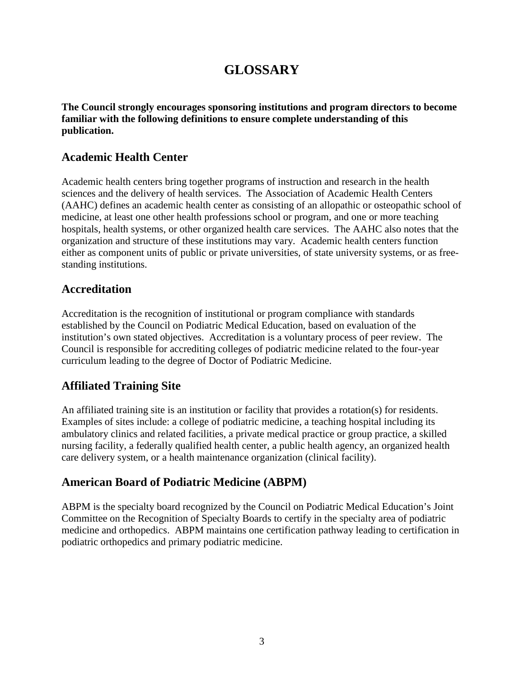# **GLOSSARY**

**The Council strongly encourages sponsoring institutions and program directors to become familiar with the following definitions to ensure complete understanding of this publication.**

## **Academic Health Center**

Academic health centers bring together programs of instruction and research in the health sciences and the delivery of health services. The Association of Academic Health Centers (AAHC) defines an academic health center as consisting of an allopathic or osteopathic school of medicine, at least one other health professions school or program, and one or more teaching hospitals, health systems, or other organized health care services. The AAHC also notes that the organization and structure of these institutions may vary. Academic health centers function either as component units of public or private universities, of state university systems, or as freestanding institutions.

## **Accreditation**

Accreditation is the recognition of institutional or program compliance with standards established by the Council on Podiatric Medical Education, based on evaluation of the institution's own stated objectives. Accreditation is a voluntary process of peer review. The Council is responsible for accrediting colleges of podiatric medicine related to the four-year curriculum leading to the degree of Doctor of Podiatric Medicine.

# **Affiliated Training Site**

An affiliated training site is an institution or facility that provides a rotation(s) for residents. Examples of sites include: a college of podiatric medicine, a teaching hospital including its ambulatory clinics and related facilities, a private medical practice or group practice, a skilled nursing facility, a federally qualified health center, a public health agency, an organized health care delivery system, or a health maintenance organization (clinical facility).

# **American Board of Podiatric Medicine (ABPM)**

ABPM is the specialty board recognized by the Council on Podiatric Medical Education's Joint Committee on the Recognition of Specialty Boards to certify in the specialty area of podiatric medicine and orthopedics. ABPM maintains one certification pathway leading to certification in podiatric orthopedics and primary podiatric medicine.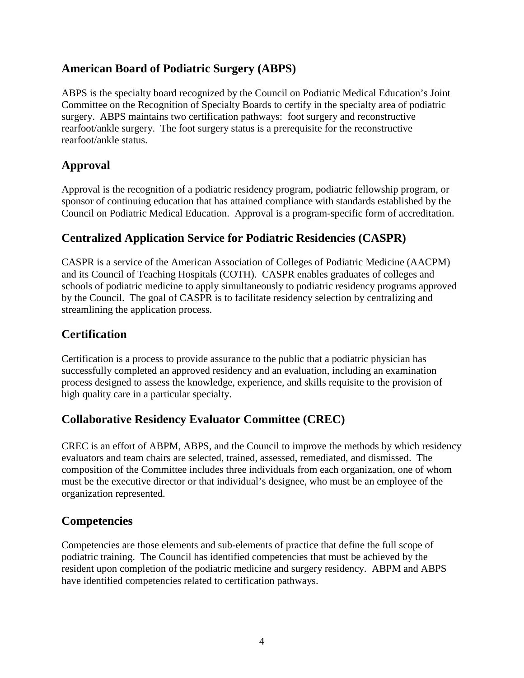## **American Board of Podiatric Surgery (ABPS)**

ABPS is the specialty board recognized by the Council on Podiatric Medical Education's Joint Committee on the Recognition of Specialty Boards to certify in the specialty area of podiatric surgery. ABPS maintains two certification pathways: foot surgery and reconstructive rearfoot/ankle surgery. The foot surgery status is a prerequisite for the reconstructive rearfoot/ankle status.

# **Approval**

Approval is the recognition of a podiatric residency program, podiatric fellowship program, or sponsor of continuing education that has attained compliance with standards established by the Council on Podiatric Medical Education. Approval is a program-specific form of accreditation.

# **Centralized Application Service for Podiatric Residencies (CASPR)**

CASPR is a service of the American Association of Colleges of Podiatric Medicine (AACPM) and its Council of Teaching Hospitals (COTH). CASPR enables graduates of colleges and schools of podiatric medicine to apply simultaneously to podiatric residency programs approved by the Council. The goal of CASPR is to facilitate residency selection by centralizing and streamlining the application process.

# **Certification**

Certification is a process to provide assurance to the public that a podiatric physician has successfully completed an approved residency and an evaluation, including an examination process designed to assess the knowledge, experience, and skills requisite to the provision of high quality care in a particular specialty.

# **Collaborative Residency Evaluator Committee (CREC)**

CREC is an effort of ABPM, ABPS, and the Council to improve the methods by which residency evaluators and team chairs are selected, trained, assessed, remediated, and dismissed. The composition of the Committee includes three individuals from each organization, one of whom must be the executive director or that individual's designee, who must be an employee of the organization represented.

# **Competencies**

Competencies are those elements and sub-elements of practice that define the full scope of podiatric training. The Council has identified competencies that must be achieved by the resident upon completion of the podiatric medicine and surgery residency. ABPM and ABPS have identified competencies related to certification pathways.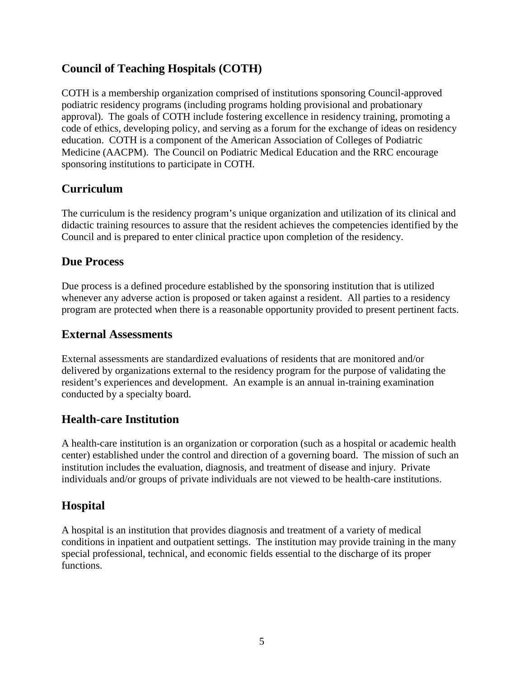# **Council of Teaching Hospitals (COTH)**

COTH is a membership organization comprised of institutions sponsoring Council-approved podiatric residency programs (including programs holding provisional and probationary approval). The goals of COTH include fostering excellence in residency training, promoting a code of ethics, developing policy, and serving as a forum for the exchange of ideas on residency education. COTH is a component of the American Association of Colleges of Podiatric Medicine (AACPM). The Council on Podiatric Medical Education and the RRC encourage sponsoring institutions to participate in COTH.

## **Curriculum**

The curriculum is the residency program's unique organization and utilization of its clinical and didactic training resources to assure that the resident achieves the competencies identified by the Council and is prepared to enter clinical practice upon completion of the residency.

### **Due Process**

Due process is a defined procedure established by the sponsoring institution that is utilized whenever any adverse action is proposed or taken against a resident. All parties to a residency program are protected when there is a reasonable opportunity provided to present pertinent facts.

### **External Assessments**

External assessments are standardized evaluations of residents that are monitored and/or delivered by organizations external to the residency program for the purpose of validating the resident's experiences and development. An example is an annual in-training examination conducted by a specialty board.

### **Health-care Institution**

A health-care institution is an organization or corporation (such as a hospital or academic health center) established under the control and direction of a governing board. The mission of such an institution includes the evaluation, diagnosis, and treatment of disease and injury. Private individuals and/or groups of private individuals are not viewed to be health-care institutions.

### **Hospital**

A hospital is an institution that provides diagnosis and treatment of a variety of medical conditions in inpatient and outpatient settings. The institution may provide training in the many special professional, technical, and economic fields essential to the discharge of its proper functions.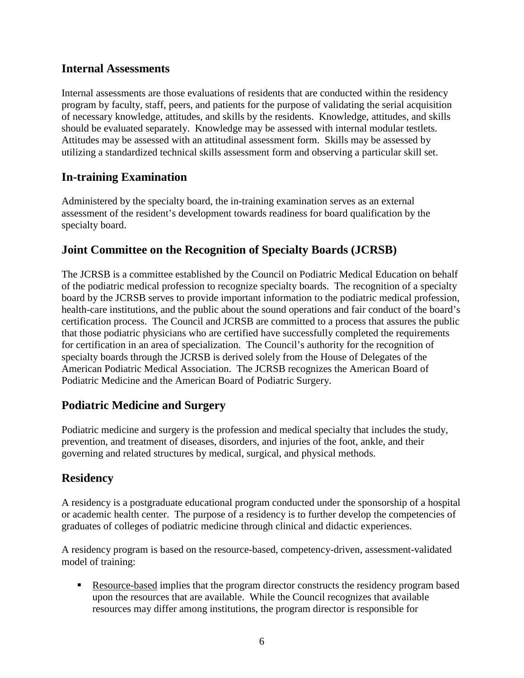### **Internal Assessments**

Internal assessments are those evaluations of residents that are conducted within the residency program by faculty, staff, peers, and patients for the purpose of validating the serial acquisition of necessary knowledge, attitudes, and skills by the residents. Knowledge, attitudes, and skills should be evaluated separately. Knowledge may be assessed with internal modular testlets. Attitudes may be assessed with an attitudinal assessment form. Skills may be assessed by utilizing a standardized technical skills assessment form and observing a particular skill set.

### **In-training Examination**

Administered by the specialty board, the in-training examination serves as an external assessment of the resident's development towards readiness for board qualification by the specialty board.

### **Joint Committee on the Recognition of Specialty Boards (JCRSB)**

The JCRSB is a committee established by the Council on Podiatric Medical Education on behalf of the podiatric medical profession to recognize specialty boards. The recognition of a specialty board by the JCRSB serves to provide important information to the podiatric medical profession, health-care institutions, and the public about the sound operations and fair conduct of the board's certification process. The Council and JCRSB are committed to a process that assures the public that those podiatric physicians who are certified have successfully completed the requirements for certification in an area of specialization. The Council's authority for the recognition of specialty boards through the JCRSB is derived solely from the House of Delegates of the American Podiatric Medical Association. The JCRSB recognizes the American Board of Podiatric Medicine and the American Board of Podiatric Surgery.

### **Podiatric Medicine and Surgery**

Podiatric medicine and surgery is the profession and medical specialty that includes the study, prevention, and treatment of diseases, disorders, and injuries of the foot, ankle, and their governing and related structures by medical, surgical, and physical methods.

### **Residency**

A residency is a postgraduate educational program conducted under the sponsorship of a hospital or academic health center. The purpose of a residency is to further develop the competencies of graduates of colleges of podiatric medicine through clinical and didactic experiences.

A residency program is based on the resource-based, competency-driven, assessment-validated model of training:

 Resource-based implies that the program director constructs the residency program based upon the resources that are available. While the Council recognizes that available resources may differ among institutions, the program director is responsible for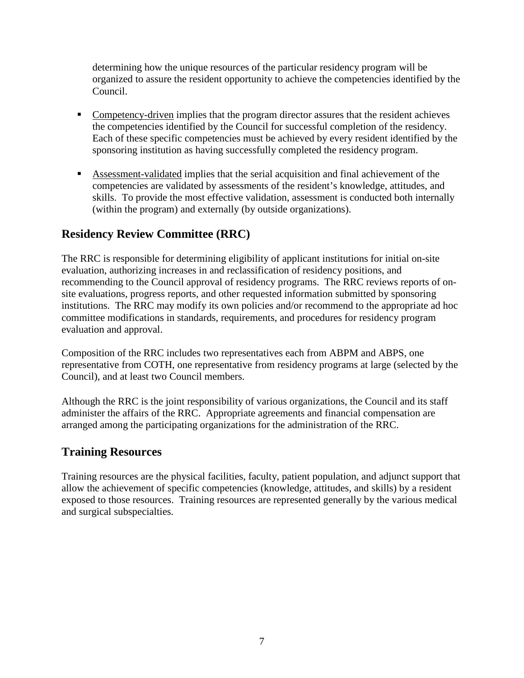determining how the unique resources of the particular residency program will be organized to assure the resident opportunity to achieve the competencies identified by the Council.

- Competency-driven implies that the program director assures that the resident achieves the competencies identified by the Council for successful completion of the residency. Each of these specific competencies must be achieved by every resident identified by the sponsoring institution as having successfully completed the residency program.
- Assessment-validated implies that the serial acquisition and final achievement of the competencies are validated by assessments of the resident's knowledge, attitudes, and skills. To provide the most effective validation, assessment is conducted both internally (within the program) and externally (by outside organizations).

## **Residency Review Committee (RRC)**

The RRC is responsible for determining eligibility of applicant institutions for initial on-site evaluation, authorizing increases in and reclassification of residency positions, and recommending to the Council approval of residency programs. The RRC reviews reports of onsite evaluations, progress reports, and other requested information submitted by sponsoring institutions. The RRC may modify its own policies and/or recommend to the appropriate ad hoc committee modifications in standards, requirements, and procedures for residency program evaluation and approval.

Composition of the RRC includes two representatives each from ABPM and ABPS, one representative from COTH, one representative from residency programs at large (selected by the Council), and at least two Council members.

Although the RRC is the joint responsibility of various organizations, the Council and its staff administer the affairs of the RRC. Appropriate agreements and financial compensation are arranged among the participating organizations for the administration of the RRC.

### **Training Resources**

Training resources are the physical facilities, faculty, patient population, and adjunct support that allow the achievement of specific competencies (knowledge, attitudes, and skills) by a resident exposed to those resources. Training resources are represented generally by the various medical and surgical subspecialties.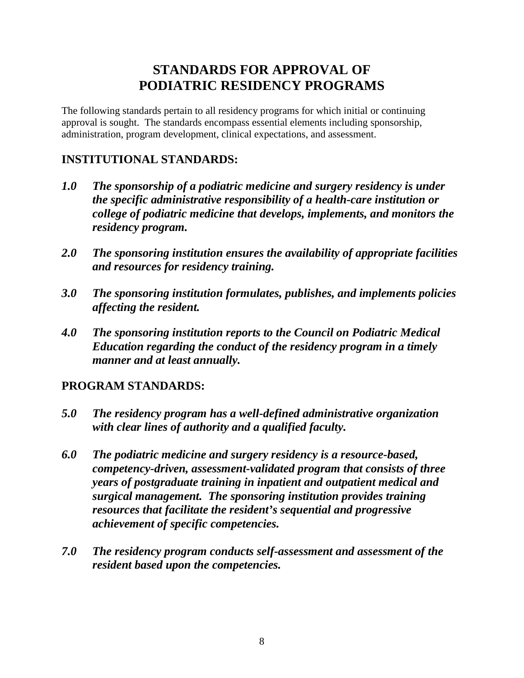# **STANDARDS FOR APPROVAL OF PODIATRIC RESIDENCY PROGRAMS**

The following standards pertain to all residency programs for which initial or continuing approval is sought. The standards encompass essential elements including sponsorship, administration, program development, clinical expectations, and assessment.

# **INSTITUTIONAL STANDARDS:**

- *1.0 The sponsorship of a podiatric medicine and surgery residency is under the specific administrative responsibility of a health-care institution or college of podiatric medicine that develops, implements, and monitors the residency program.*
- *2.0 The sponsoring institution ensures the availability of appropriate facilities and resources for residency training.*
- *3.0 The sponsoring institution formulates, publishes, and implements policies affecting the resident.*
- *4.0 The sponsoring institution reports to the Council on Podiatric Medical Education regarding the conduct of the residency program in a timely manner and at least annually.*

# **PROGRAM STANDARDS:**

- *5.0 The residency program has a well-defined administrative organization with clear lines of authority and a qualified faculty.*
- *6.0 The podiatric medicine and surgery residency is a resource-based, competency-driven, assessment-validated program that consists of three years of postgraduate training in inpatient and outpatient medical and surgical management. The sponsoring institution provides training resources that facilitate the resident's sequential and progressive achievement of specific competencies.*
- *7.0 The residency program conducts self-assessment and assessment of the resident based upon the competencies.*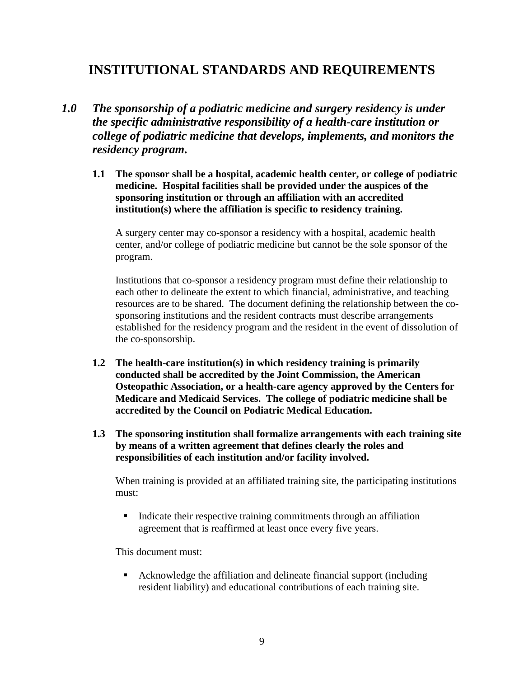# **INSTITUTIONAL STANDARDS AND REQUIREMENTS**

- *1.0 The sponsorship of a podiatric medicine and surgery residency is under the specific administrative responsibility of a health-care institution or college of podiatric medicine that develops, implements, and monitors the residency program.*
	- **1.1 The sponsor shall be a hospital, academic health center, or college of podiatric medicine. Hospital facilities shall be provided under the auspices of the sponsoring institution or through an affiliation with an accredited institution(s) where the affiliation is specific to residency training.**

A surgery center may co-sponsor a residency with a hospital, academic health center, and/or college of podiatric medicine but cannot be the sole sponsor of the program.

Institutions that co-sponsor a residency program must define their relationship to each other to delineate the extent to which financial, administrative, and teaching resources are to be shared. The document defining the relationship between the cosponsoring institutions and the resident contracts must describe arrangements established for the residency program and the resident in the event of dissolution of the co-sponsorship.

- **1.2 The health-care institution(s) in which residency training is primarily conducted shall be accredited by the Joint Commission, the American Osteopathic Association, or a health-care agency approved by the Centers for Medicare and Medicaid Services. The college of podiatric medicine shall be accredited by the Council on Podiatric Medical Education.**
- **1.3 The sponsoring institution shall formalize arrangements with each training site by means of a written agreement that defines clearly the roles and responsibilities of each institution and/or facility involved.**

When training is provided at an affiliated training site, the participating institutions must:

Indicate their respective training commitments through an affiliation agreement that is reaffirmed at least once every five years.

This document must:

 Acknowledge the affiliation and delineate financial support (including resident liability) and educational contributions of each training site.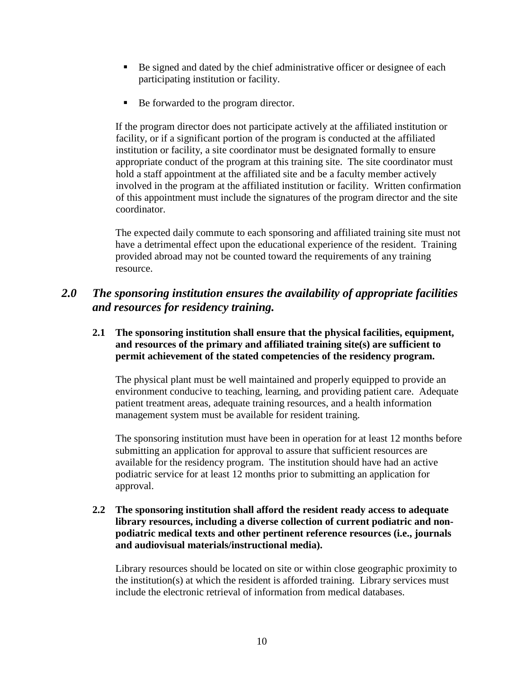- Be signed and dated by the chief administrative officer or designee of each participating institution or facility.
- Be forwarded to the program director.

If the program director does not participate actively at the affiliated institution or facility, or if a significant portion of the program is conducted at the affiliated institution or facility, a site coordinator must be designated formally to ensure appropriate conduct of the program at this training site. The site coordinator must hold a staff appointment at the affiliated site and be a faculty member actively involved in the program at the affiliated institution or facility. Written confirmation of this appointment must include the signatures of the program director and the site coordinator.

The expected daily commute to each sponsoring and affiliated training site must not have a detrimental effect upon the educational experience of the resident. Training provided abroad may not be counted toward the requirements of any training resource.

## *2.0 The sponsoring institution ensures the availability of appropriate facilities and resources for residency training.*

#### **2.1 The sponsoring institution shall ensure that the physical facilities, equipment, and resources of the primary and affiliated training site(s) are sufficient to permit achievement of the stated competencies of the residency program.**

The physical plant must be well maintained and properly equipped to provide an environment conducive to teaching, learning, and providing patient care. Adequate patient treatment areas, adequate training resources, and a health information management system must be available for resident training.

The sponsoring institution must have been in operation for at least 12 months before submitting an application for approval to assure that sufficient resources are available for the residency program. The institution should have had an active podiatric service for at least 12 months prior to submitting an application for approval.

#### **2.2 The sponsoring institution shall afford the resident ready access to adequate library resources, including a diverse collection of current podiatric and nonpodiatric medical texts and other pertinent reference resources (i.e., journals and audiovisual materials/instructional media).**

Library resources should be located on site or within close geographic proximity to the institution(s) at which the resident is afforded training. Library services must include the electronic retrieval of information from medical databases.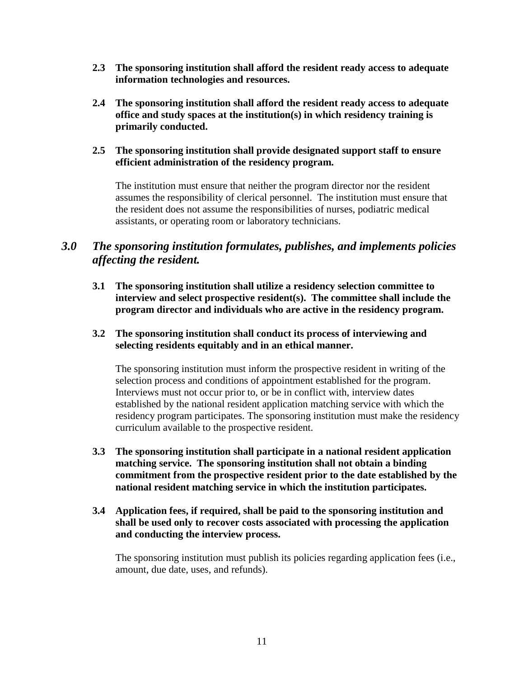- **2.3 The sponsoring institution shall afford the resident ready access to adequate information technologies and resources.**
- **2.4 The sponsoring institution shall afford the resident ready access to adequate office and study spaces at the institution(s) in which residency training is primarily conducted.**

#### **2.5 The sponsoring institution shall provide designated support staff to ensure efficient administration of the residency program.**

The institution must ensure that neither the program director nor the resident assumes the responsibility of clerical personnel. The institution must ensure that the resident does not assume the responsibilities of nurses, podiatric medical assistants, or operating room or laboratory technicians.

## *3.0 The sponsoring institution formulates, publishes, and implements policies affecting the resident.*

**3.1 The sponsoring institution shall utilize a residency selection committee to interview and select prospective resident(s). The committee shall include the program director and individuals who are active in the residency program.**

#### **3.2 The sponsoring institution shall conduct its process of interviewing and selecting residents equitably and in an ethical manner.**

The sponsoring institution must inform the prospective resident in writing of the selection process and conditions of appointment established for the program. Interviews must not occur prior to, or be in conflict with, interview dates established by the national resident application matching service with which the residency program participates. The sponsoring institution must make the residency curriculum available to the prospective resident.

- **3.3 The sponsoring institution shall participate in a national resident application matching service. The sponsoring institution shall not obtain a binding commitment from the prospective resident prior to the date established by the national resident matching service in which the institution participates.**
- **3.4 Application fees, if required, shall be paid to the sponsoring institution and shall be used only to recover costs associated with processing the application and conducting the interview process.**

The sponsoring institution must publish its policies regarding application fees (i.e., amount, due date, uses, and refunds).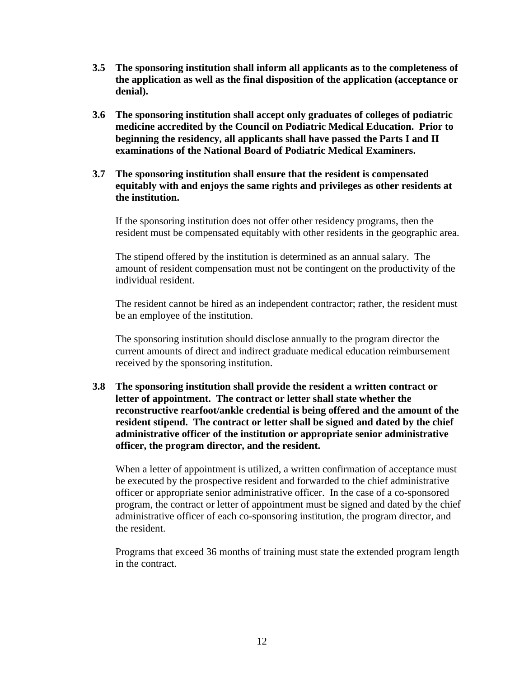- **3.5 The sponsoring institution shall inform all applicants as to the completeness of the application as well as the final disposition of the application (acceptance or denial).**
- **3.6 The sponsoring institution shall accept only graduates of colleges of podiatric medicine accredited by the Council on Podiatric Medical Education. Prior to beginning the residency, all applicants shall have passed the Parts I and II examinations of the National Board of Podiatric Medical Examiners.**

#### **3.7 The sponsoring institution shall ensure that the resident is compensated equitably with and enjoys the same rights and privileges as other residents at the institution.**

If the sponsoring institution does not offer other residency programs, then the resident must be compensated equitably with other residents in the geographic area.

The stipend offered by the institution is determined as an annual salary. The amount of resident compensation must not be contingent on the productivity of the individual resident.

The resident cannot be hired as an independent contractor; rather, the resident must be an employee of the institution.

The sponsoring institution should disclose annually to the program director the current amounts of direct and indirect graduate medical education reimbursement received by the sponsoring institution.

**3.8 The sponsoring institution shall provide the resident a written contract or letter of appointment. The contract or letter shall state whether the reconstructive rearfoot/ankle credential is being offered and the amount of the resident stipend. The contract or letter shall be signed and dated by the chief administrative officer of the institution or appropriate senior administrative officer, the program director, and the resident.**

When a letter of appointment is utilized, a written confirmation of acceptance must be executed by the prospective resident and forwarded to the chief administrative officer or appropriate senior administrative officer. In the case of a co-sponsored program, the contract or letter of appointment must be signed and dated by the chief administrative officer of each co-sponsoring institution, the program director, and the resident.

Programs that exceed 36 months of training must state the extended program length in the contract.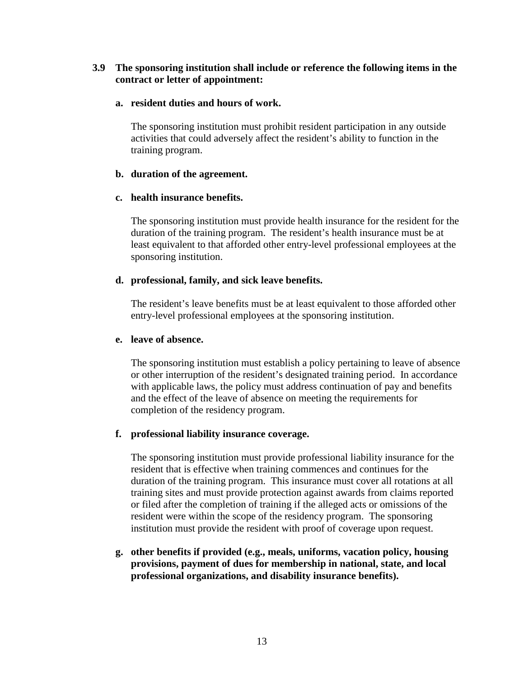#### **3.9 The sponsoring institution shall include or reference the following items in the contract or letter of appointment:**

#### **a. resident duties and hours of work.**

The sponsoring institution must prohibit resident participation in any outside activities that could adversely affect the resident's ability to function in the training program.

#### **b. duration of the agreement.**

#### **c. health insurance benefits.**

The sponsoring institution must provide health insurance for the resident for the duration of the training program. The resident's health insurance must be at least equivalent to that afforded other entry-level professional employees at the sponsoring institution.

#### **d. professional, family, and sick leave benefits.**

The resident's leave benefits must be at least equivalent to those afforded other entry-level professional employees at the sponsoring institution.

#### **e. leave of absence.**

The sponsoring institution must establish a policy pertaining to leave of absence or other interruption of the resident's designated training period. In accordance with applicable laws, the policy must address continuation of pay and benefits and the effect of the leave of absence on meeting the requirements for completion of the residency program.

#### **f. professional liability insurance coverage.**

The sponsoring institution must provide professional liability insurance for the resident that is effective when training commences and continues for the duration of the training program. This insurance must cover all rotations at all training sites and must provide protection against awards from claims reported or filed after the completion of training if the alleged acts or omissions of the resident were within the scope of the residency program. The sponsoring institution must provide the resident with proof of coverage upon request.

**g. other benefits if provided (e.g., meals, uniforms, vacation policy, housing provisions, payment of dues for membership in national, state, and local professional organizations, and disability insurance benefits).**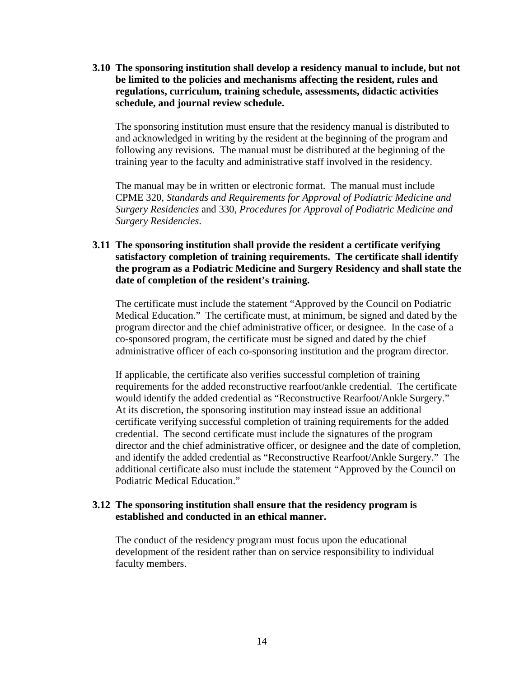**3.10 The sponsoring institution shall develop a residency manual to include, but not be limited to the policies and mechanisms affecting the resident, rules and regulations, curriculum, training schedule, assessments, didactic activities schedule, and journal review schedule.**

The sponsoring institution must ensure that the residency manual is distributed to and acknowledged in writing by the resident at the beginning of the program and following any revisions. The manual must be distributed at the beginning of the training year to the faculty and administrative staff involved in the residency.

The manual may be in written or electronic format. The manual must include CPME 320, *Standards and Requirements for Approval of Podiatric Medicine and Surgery Residencies* and 330, *Procedures for Approval of Podiatric Medicine and Surgery Residencies*.

#### **3.11 The sponsoring institution shall provide the resident a certificate verifying satisfactory completion of training requirements. The certificate shall identify the program as a Podiatric Medicine and Surgery Residency and shall state the date of completion of the resident's training.**

The certificate must include the statement "Approved by the Council on Podiatric Medical Education." The certificate must, at minimum, be signed and dated by the program director and the chief administrative officer, or designee. In the case of a co-sponsored program, the certificate must be signed and dated by the chief administrative officer of each co-sponsoring institution and the program director.

If applicable, the certificate also verifies successful completion of training requirements for the added reconstructive rearfoot/ankle credential. The certificate would identify the added credential as "Reconstructive Rearfoot/Ankle Surgery." At its discretion, the sponsoring institution may instead issue an additional certificate verifying successful completion of training requirements for the added credential. The second certificate must include the signatures of the program director and the chief administrative officer, or designee and the date of completion, and identify the added credential as "Reconstructive Rearfoot/Ankle Surgery." The additional certificate also must include the statement "Approved by the Council on Podiatric Medical Education."

#### **3.12 The sponsoring institution shall ensure that the residency program is established and conducted in an ethical manner.**

The conduct of the residency program must focus upon the educational development of the resident rather than on service responsibility to individual faculty members.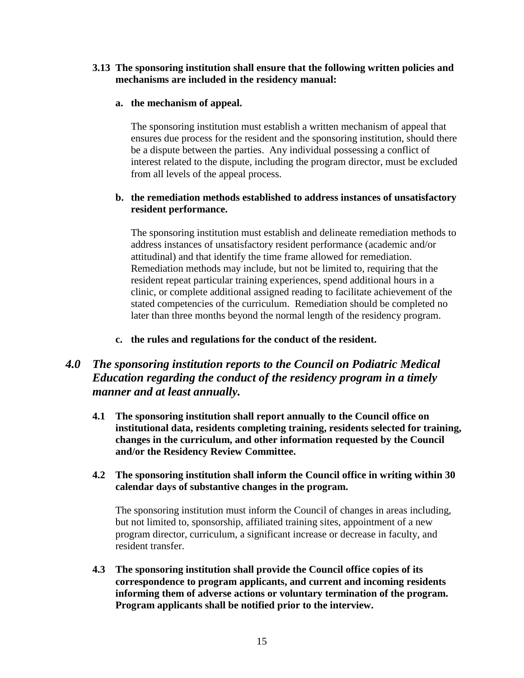#### **3.13 The sponsoring institution shall ensure that the following written policies and mechanisms are included in the residency manual:**

#### **a. the mechanism of appeal.**

The sponsoring institution must establish a written mechanism of appeal that ensures due process for the resident and the sponsoring institution, should there be a dispute between the parties. Any individual possessing a conflict of interest related to the dispute, including the program director, must be excluded from all levels of the appeal process.

#### **b. the remediation methods established to address instances of unsatisfactory resident performance.**

The sponsoring institution must establish and delineate remediation methods to address instances of unsatisfactory resident performance (academic and/or attitudinal) and that identify the time frame allowed for remediation. Remediation methods may include, but not be limited to, requiring that the resident repeat particular training experiences, spend additional hours in a clinic, or complete additional assigned reading to facilitate achievement of the stated competencies of the curriculum. Remediation should be completed no later than three months beyond the normal length of the residency program.

**c. the rules and regulations for the conduct of the resident.**

## *4.0 The sponsoring institution reports to the Council on Podiatric Medical Education regarding the conduct of the residency program in a timely manner and at least annually.*

**4.1 The sponsoring institution shall report annually to the Council office on institutional data, residents completing training, residents selected for training, changes in the curriculum, and other information requested by the Council and/or the Residency Review Committee.**

#### **4.2 The sponsoring institution shall inform the Council office in writing within 30 calendar days of substantive changes in the program.**

The sponsoring institution must inform the Council of changes in areas including, but not limited to, sponsorship, affiliated training sites, appointment of a new program director, curriculum, a significant increase or decrease in faculty, and resident transfer.

**4.3 The sponsoring institution shall provide the Council office copies of its correspondence to program applicants, and current and incoming residents informing them of adverse actions or voluntary termination of the program. Program applicants shall be notified prior to the interview.**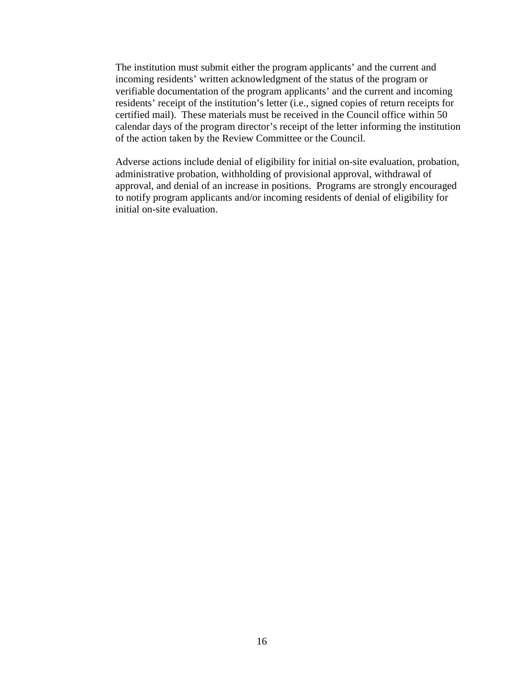The institution must submit either the program applicants' and the current and incoming residents' written acknowledgment of the status of the program or verifiable documentation of the program applicants' and the current and incoming residents' receipt of the institution's letter (i.e., signed copies of return receipts for certified mail). These materials must be received in the Council office within 50 calendar days of the program director's receipt of the letter informing the institution of the action taken by the Review Committee or the Council.

Adverse actions include denial of eligibility for initial on-site evaluation, probation, administrative probation, withholding of provisional approval, withdrawal of approval, and denial of an increase in positions. Programs are strongly encouraged to notify program applicants and/or incoming residents of denial of eligibility for initial on-site evaluation.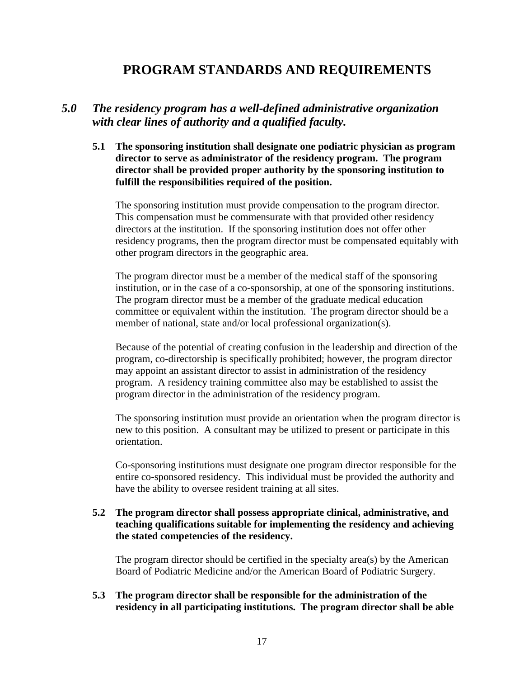# **PROGRAM STANDARDS AND REQUIREMENTS**

### *5.0 The residency program has a well-defined administrative organization with clear lines of authority and a qualified faculty.*

**5.1 The sponsoring institution shall designate one podiatric physician as program director to serve as administrator of the residency program. The program director shall be provided proper authority by the sponsoring institution to fulfill the responsibilities required of the position.**

The sponsoring institution must provide compensation to the program director. This compensation must be commensurate with that provided other residency directors at the institution. If the sponsoring institution does not offer other residency programs, then the program director must be compensated equitably with other program directors in the geographic area.

The program director must be a member of the medical staff of the sponsoring institution, or in the case of a co-sponsorship, at one of the sponsoring institutions. The program director must be a member of the graduate medical education committee or equivalent within the institution. The program director should be a member of national, state and/or local professional organization(s).

Because of the potential of creating confusion in the leadership and direction of the program, co-directorship is specifically prohibited; however, the program director may appoint an assistant director to assist in administration of the residency program. A residency training committee also may be established to assist the program director in the administration of the residency program.

The sponsoring institution must provide an orientation when the program director is new to this position. A consultant may be utilized to present or participate in this orientation.

Co-sponsoring institutions must designate one program director responsible for the entire co-sponsored residency. This individual must be provided the authority and have the ability to oversee resident training at all sites.

#### **5.2 The program director shall possess appropriate clinical, administrative, and teaching qualifications suitable for implementing the residency and achieving the stated competencies of the residency.**

The program director should be certified in the specialty area(s) by the American Board of Podiatric Medicine and/or the American Board of Podiatric Surgery.

**5.3 The program director shall be responsible for the administration of the residency in all participating institutions. The program director shall be able**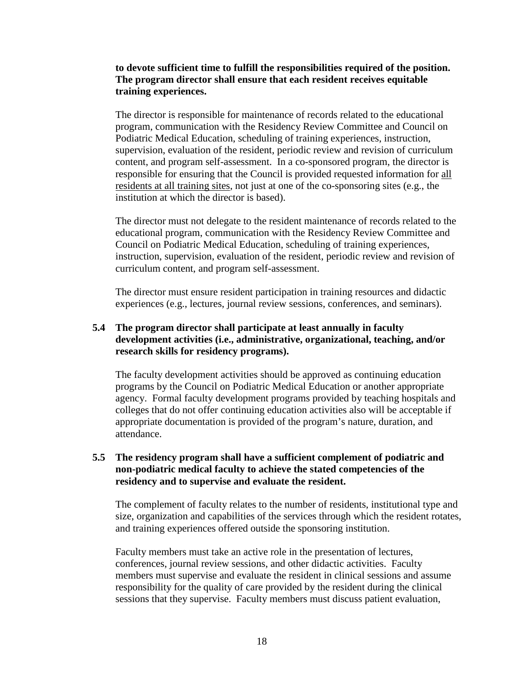**to devote sufficient time to fulfill the responsibilities required of the position. The program director shall ensure that each resident receives equitable training experiences.**

The director is responsible for maintenance of records related to the educational program, communication with the Residency Review Committee and Council on Podiatric Medical Education, scheduling of training experiences, instruction, supervision, evaluation of the resident, periodic review and revision of curriculum content, and program self-assessment. In a co-sponsored program, the director is responsible for ensuring that the Council is provided requested information for all residents at all training sites, not just at one of the co-sponsoring sites (e.g., the institution at which the director is based).

The director must not delegate to the resident maintenance of records related to the educational program, communication with the Residency Review Committee and Council on Podiatric Medical Education, scheduling of training experiences, instruction, supervision, evaluation of the resident, periodic review and revision of curriculum content, and program self-assessment.

The director must ensure resident participation in training resources and didactic experiences (e.g., lectures, journal review sessions, conferences, and seminars).

#### **5.4 The program director shall participate at least annually in faculty development activities (i.e., administrative, organizational, teaching, and/or research skills for residency programs).**

The faculty development activities should be approved as continuing education programs by the Council on Podiatric Medical Education or another appropriate agency. Formal faculty development programs provided by teaching hospitals and colleges that do not offer continuing education activities also will be acceptable if appropriate documentation is provided of the program's nature, duration, and attendance.

#### **5.5 The residency program shall have a sufficient complement of podiatric and non-podiatric medical faculty to achieve the stated competencies of the residency and to supervise and evaluate the resident.**

The complement of faculty relates to the number of residents, institutional type and size, organization and capabilities of the services through which the resident rotates, and training experiences offered outside the sponsoring institution.

Faculty members must take an active role in the presentation of lectures, conferences, journal review sessions, and other didactic activities. Faculty members must supervise and evaluate the resident in clinical sessions and assume responsibility for the quality of care provided by the resident during the clinical sessions that they supervise. Faculty members must discuss patient evaluation,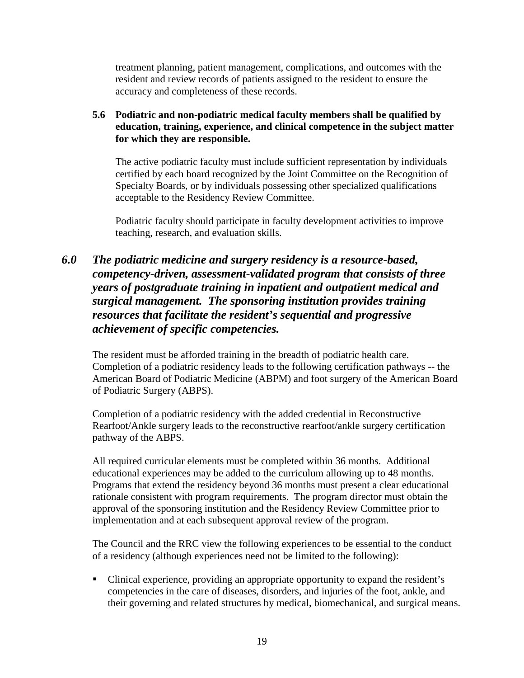treatment planning, patient management, complications, and outcomes with the resident and review records of patients assigned to the resident to ensure the accuracy and completeness of these records.

#### **5.6 Podiatric and non-podiatric medical faculty members shall be qualified by education, training, experience, and clinical competence in the subject matter for which they are responsible.**

The active podiatric faculty must include sufficient representation by individuals certified by each board recognized by the Joint Committee on the Recognition of Specialty Boards, or by individuals possessing other specialized qualifications acceptable to the Residency Review Committee.

Podiatric faculty should participate in faculty development activities to improve teaching, research, and evaluation skills.

## *6.0 The podiatric medicine and surgery residency is a resource-based, competency-driven, assessment-validated program that consists of three years of postgraduate training in inpatient and outpatient medical and surgical management. The sponsoring institution provides training resources that facilitate the resident's sequential and progressive achievement of specific competencies.*

The resident must be afforded training in the breadth of podiatric health care. Completion of a podiatric residency leads to the following certification pathways -- the American Board of Podiatric Medicine (ABPM) and foot surgery of the American Board of Podiatric Surgery (ABPS).

Completion of a podiatric residency with the added credential in Reconstructive Rearfoot/Ankle surgery leads to the reconstructive rearfoot/ankle surgery certification pathway of the ABPS.

All required curricular elements must be completed within 36 months. Additional educational experiences may be added to the curriculum allowing up to 48 months. Programs that extend the residency beyond 36 months must present a clear educational rationale consistent with program requirements. The program director must obtain the approval of the sponsoring institution and the Residency Review Committee prior to implementation and at each subsequent approval review of the program.

The Council and the RRC view the following experiences to be essential to the conduct of a residency (although experiences need not be limited to the following):

 Clinical experience, providing an appropriate opportunity to expand the resident's competencies in the care of diseases, disorders, and injuries of the foot, ankle, and their governing and related structures by medical, biomechanical, and surgical means.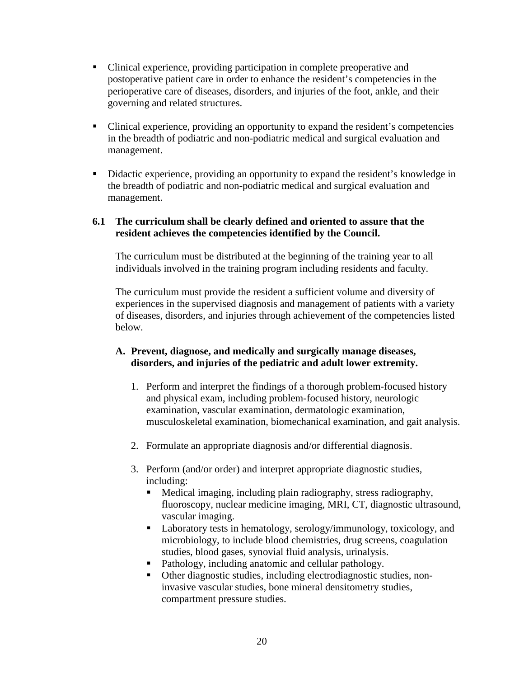- Clinical experience, providing participation in complete preoperative and postoperative patient care in order to enhance the resident's competencies in the perioperative care of diseases, disorders, and injuries of the foot, ankle, and their governing and related structures.
- Clinical experience, providing an opportunity to expand the resident's competencies in the breadth of podiatric and non-podiatric medical and surgical evaluation and management.
- Didactic experience, providing an opportunity to expand the resident's knowledge in the breadth of podiatric and non-podiatric medical and surgical evaluation and management.

#### **6.1 The curriculum shall be clearly defined and oriented to assure that the resident achieves the competencies identified by the Council.**

The curriculum must be distributed at the beginning of the training year to all individuals involved in the training program including residents and faculty.

The curriculum must provide the resident a sufficient volume and diversity of experiences in the supervised diagnosis and management of patients with a variety of diseases, disorders, and injuries through achievement of the competencies listed below.

#### **A. Prevent, diagnose, and medically and surgically manage diseases, disorders, and injuries of the pediatric and adult lower extremity.**

- 1. Perform and interpret the findings of a thorough problem-focused history and physical exam, including problem-focused history, neurologic examination, vascular examination, dermatologic examination, musculoskeletal examination, biomechanical examination, and gait analysis.
- 2. Formulate an appropriate diagnosis and/or differential diagnosis.
- 3. Perform (and/or order) and interpret appropriate diagnostic studies, including:
	- Medical imaging, including plain radiography, stress radiography, fluoroscopy, nuclear medicine imaging, MRI, CT, diagnostic ultrasound, vascular imaging.
	- Laboratory tests in hematology, serology/immunology, toxicology, and microbiology, to include blood chemistries, drug screens, coagulation studies, blood gases, synovial fluid analysis, urinalysis.
	- Pathology, including anatomic and cellular pathology.
	- Other diagnostic studies, including electrodiagnostic studies, noninvasive vascular studies, bone mineral densitometry studies, compartment pressure studies.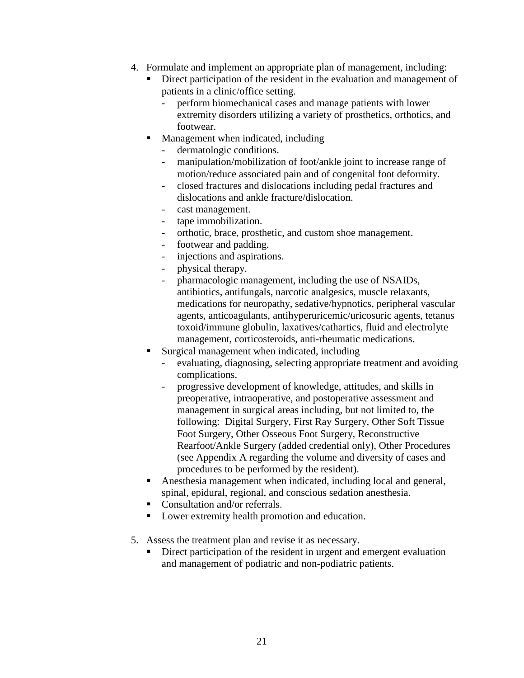- 4. Formulate and implement an appropriate plan of management, including:
	- Direct participation of the resident in the evaluation and management of patients in a clinic/office setting.
		- perform biomechanical cases and manage patients with lower extremity disorders utilizing a variety of prosthetics, orthotics, and footwear.
	- Management when indicated, including
		- dermatologic conditions.
		- manipulation/mobilization of foot/ankle joint to increase range of motion/reduce associated pain and of congenital foot deformity.
		- closed fractures and dislocations including pedal fractures and dislocations and ankle fracture/dislocation.
		- cast management.
		- tape immobilization.
		- orthotic, brace, prosthetic, and custom shoe management.
		- footwear and padding.
		- injections and aspirations.
		- physical therapy.
		- pharmacologic management, including the use of NSAIDs, antibiotics, antifungals, narcotic analgesics, muscle relaxants, medications for neuropathy, sedative/hypnotics, peripheral vascular agents, anticoagulants, antihyperuricemic/uricosuric agents, tetanus toxoid/immune globulin, laxatives/cathartics, fluid and electrolyte management, corticosteroids, anti-rheumatic medications.
	- Surgical management when indicated, including
		- evaluating, diagnosing, selecting appropriate treatment and avoiding complications.
		- progressive development of knowledge, attitudes, and skills in preoperative, intraoperative, and postoperative assessment and management in surgical areas including, but not limited to, the following: Digital Surgery, First Ray Surgery, Other Soft Tissue Foot Surgery, Other Osseous Foot Surgery, Reconstructive Rearfoot/Ankle Surgery (added credential only), Other Procedures (see Appendix A regarding the volume and diversity of cases and procedures to be performed by the resident).
	- Anesthesia management when indicated, including local and general, spinal, epidural, regional, and conscious sedation anesthesia.
	- Consultation and/or referrals.
	- Lower extremity health promotion and education.
- 5. Assess the treatment plan and revise it as necessary.
	- Direct participation of the resident in urgent and emergent evaluation and management of podiatric and non-podiatric patients.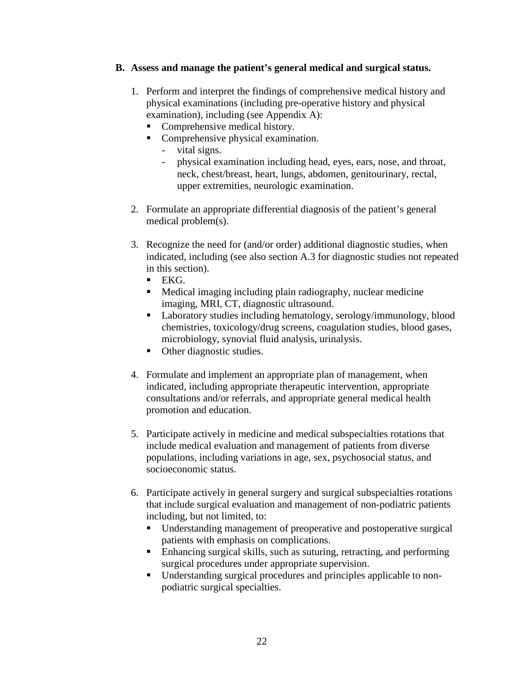#### **B. Assess and manage the patient's general medical and surgical status.**

- 1. Perform and interpret the findings of comprehensive medical history and physical examinations (including pre-operative history and physical examination), including (see Appendix A):
	- Comprehensive medical history.
	- Comprehensive physical examination.
		- vital signs.
		- physical examination including head, eyes, ears, nose, and throat, neck, chest/breast, heart, lungs, abdomen, genitourinary, rectal, upper extremities, neurologic examination.
- 2. Formulate an appropriate differential diagnosis of the patient's general medical problem(s).
- 3. Recognize the need for (and/or order) additional diagnostic studies, when indicated, including (see also section A.3 for diagnostic studies not repeated in this section).
	- $EKG.$
	- Medical imaging including plain radiography, nuclear medicine imaging, MRI, CT, diagnostic ultrasound.
	- **Laboratory studies including hematology, serology/immunology, blood** chemistries, toxicology/drug screens, coagulation studies, blood gases, microbiology, synovial fluid analysis, urinalysis.
	- Other diagnostic studies.
- 4. Formulate and implement an appropriate plan of management, when indicated, including appropriate therapeutic intervention, appropriate consultations and/or referrals, and appropriate general medical health promotion and education.
- 5. Participate actively in medicine and medical subspecialties rotations that include medical evaluation and management of patients from diverse populations, including variations in age, sex, psychosocial status, and socioeconomic status.
- 6. Participate actively in general surgery and surgical subspecialties rotations that include surgical evaluation and management of non-podiatric patients including, but not limited, to:
	- Understanding management of preoperative and postoperative surgical patients with emphasis on complications.
	- Enhancing surgical skills, such as suturing, retracting, and performing surgical procedures under appropriate supervision.
	- Understanding surgical procedures and principles applicable to nonpodiatric surgical specialties.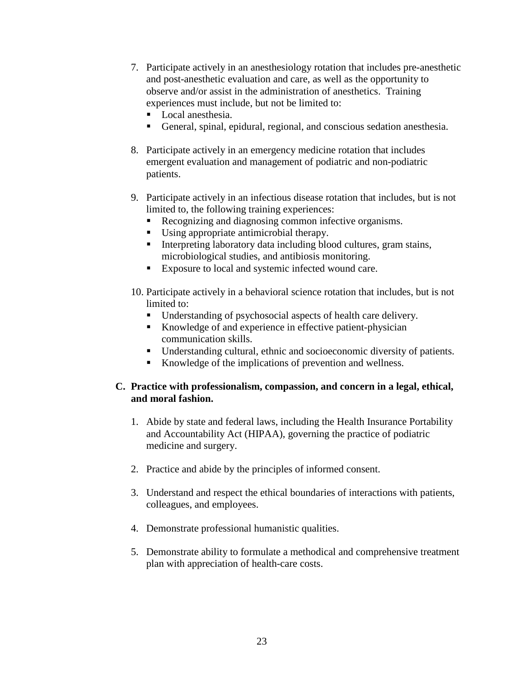- 7. Participate actively in an anesthesiology rotation that includes pre-anesthetic and post-anesthetic evaluation and care, as well as the opportunity to observe and/or assist in the administration of anesthetics. Training experiences must include, but not be limited to:
	- Local anesthesia.
	- General, spinal, epidural, regional, and conscious sedation anesthesia.
- 8. Participate actively in an emergency medicine rotation that includes emergent evaluation and management of podiatric and non-podiatric patients.
- 9. Participate actively in an infectious disease rotation that includes, but is not limited to, the following training experiences:
	- Recognizing and diagnosing common infective organisms.
	- Using appropriate antimicrobial therapy.
	- Interpreting laboratory data including blood cultures, gram stains, microbiological studies, and antibiosis monitoring.
	- Exposure to local and systemic infected wound care.
- 10. Participate actively in a behavioral science rotation that includes, but is not limited to:
	- Understanding of psychosocial aspects of health care delivery.
	- Knowledge of and experience in effective patient-physician communication skills.
	- Understanding cultural, ethnic and socioeconomic diversity of patients.
	- Knowledge of the implications of prevention and wellness.

#### **C. Practice with professionalism, compassion, and concern in a legal, ethical, and moral fashion.**

- 1. Abide by state and federal laws, including the Health Insurance Portability and Accountability Act (HIPAA), governing the practice of podiatric medicine and surgery.
- 2. Practice and abide by the principles of informed consent.
- 3. Understand and respect the ethical boundaries of interactions with patients, colleagues, and employees.
- 4. Demonstrate professional humanistic qualities.
- 5. Demonstrate ability to formulate a methodical and comprehensive treatment plan with appreciation of health-care costs.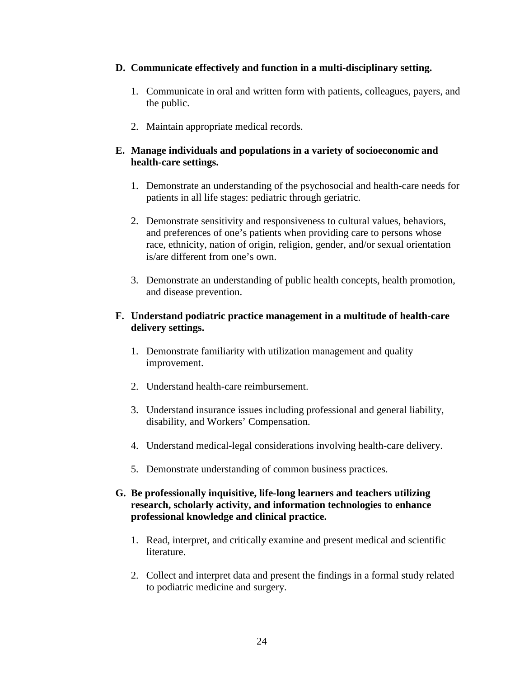#### **D. Communicate effectively and function in a multi-disciplinary setting.**

- 1. Communicate in oral and written form with patients, colleagues, payers, and the public.
- 2. Maintain appropriate medical records.

#### **E. Manage individuals and populations in a variety of socioeconomic and health-care settings.**

- 1. Demonstrate an understanding of the psychosocial and health-care needs for patients in all life stages: pediatric through geriatric.
- 2. Demonstrate sensitivity and responsiveness to cultural values, behaviors, and preferences of one's patients when providing care to persons whose race, ethnicity, nation of origin, religion, gender, and/or sexual orientation is/are different from one's own.
- 3. Demonstrate an understanding of public health concepts, health promotion, and disease prevention.

#### **F. Understand podiatric practice management in a multitude of health-care delivery settings.**

- 1. Demonstrate familiarity with utilization management and quality improvement.
- 2. Understand health-care reimbursement.
- 3. Understand insurance issues including professional and general liability, disability, and Workers' Compensation.
- 4. Understand medical-legal considerations involving health-care delivery.
- 5. Demonstrate understanding of common business practices.
- **G. Be professionally inquisitive, life-long learners and teachers utilizing research, scholarly activity, and information technologies to enhance professional knowledge and clinical practice.**
	- 1. Read, interpret, and critically examine and present medical and scientific literature.
	- 2. Collect and interpret data and present the findings in a formal study related to podiatric medicine and surgery.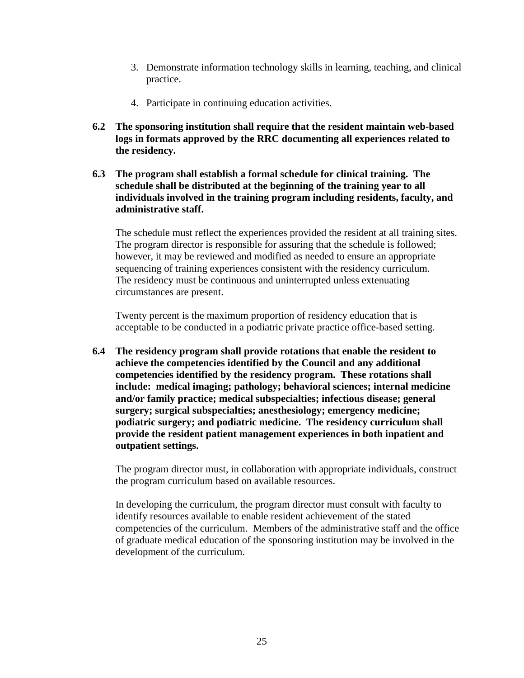- 3. Demonstrate information technology skills in learning, teaching, and clinical practice.
- 4. Participate in continuing education activities.
- **6.2 The sponsoring institution shall require that the resident maintain web-based logs in formats approved by the RRC documenting all experiences related to the residency.**
- **6.3 The program shall establish a formal schedule for clinical training. The schedule shall be distributed at the beginning of the training year to all individuals involved in the training program including residents, faculty, and administrative staff.**

The schedule must reflect the experiences provided the resident at all training sites. The program director is responsible for assuring that the schedule is followed; however, it may be reviewed and modified as needed to ensure an appropriate sequencing of training experiences consistent with the residency curriculum. The residency must be continuous and uninterrupted unless extenuating circumstances are present.

Twenty percent is the maximum proportion of residency education that is acceptable to be conducted in a podiatric private practice office-based setting.

**6.4 The residency program shall provide rotations that enable the resident to achieve the competencies identified by the Council and any additional competencies identified by the residency program. These rotations shall include: medical imaging; pathology; behavioral sciences; internal medicine and/or family practice; medical subspecialties; infectious disease; general surgery; surgical subspecialties; anesthesiology; emergency medicine; podiatric surgery; and podiatric medicine. The residency curriculum shall provide the resident patient management experiences in both inpatient and outpatient settings.**

The program director must, in collaboration with appropriate individuals, construct the program curriculum based on available resources.

In developing the curriculum, the program director must consult with faculty to identify resources available to enable resident achievement of the stated competencies of the curriculum. Members of the administrative staff and the office of graduate medical education of the sponsoring institution may be involved in the development of the curriculum.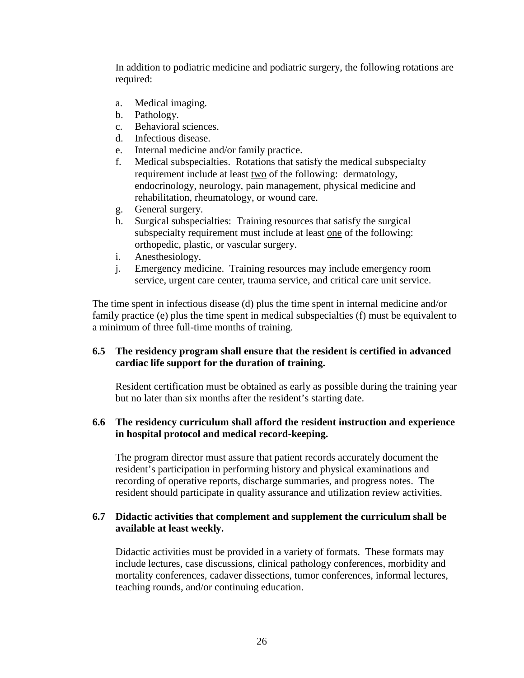In addition to podiatric medicine and podiatric surgery, the following rotations are required:

- a. Medical imaging.
- b. Pathology.
- c. Behavioral sciences.
- d. Infectious disease.
- e. Internal medicine and/or family practice.
- f. Medical subspecialties. Rotations that satisfy the medical subspecialty requirement include at least two of the following: dermatology, endocrinology, neurology, pain management, physical medicine and rehabilitation, rheumatology, or wound care.
- g. General surgery.
- h. Surgical subspecialties: Training resources that satisfy the surgical subspecialty requirement must include at least one of the following: orthopedic, plastic, or vascular surgery.
- i. Anesthesiology.
- j. Emergency medicine. Training resources may include emergency room service, urgent care center, trauma service, and critical care unit service.

The time spent in infectious disease (d) plus the time spent in internal medicine and/or family practice (e) plus the time spent in medical subspecialties (f) must be equivalent to a minimum of three full-time months of training.

#### **6.5 The residency program shall ensure that the resident is certified in advanced cardiac life support for the duration of training.**

Resident certification must be obtained as early as possible during the training year but no later than six months after the resident's starting date.

#### **6.6 The residency curriculum shall afford the resident instruction and experience in hospital protocol and medical record-keeping.**

The program director must assure that patient records accurately document the resident's participation in performing history and physical examinations and recording of operative reports, discharge summaries, and progress notes. The resident should participate in quality assurance and utilization review activities.

#### **6.7 Didactic activities that complement and supplement the curriculum shall be available at least weekly.**

Didactic activities must be provided in a variety of formats. These formats may include lectures, case discussions, clinical pathology conferences, morbidity and mortality conferences, cadaver dissections, tumor conferences, informal lectures, teaching rounds, and/or continuing education.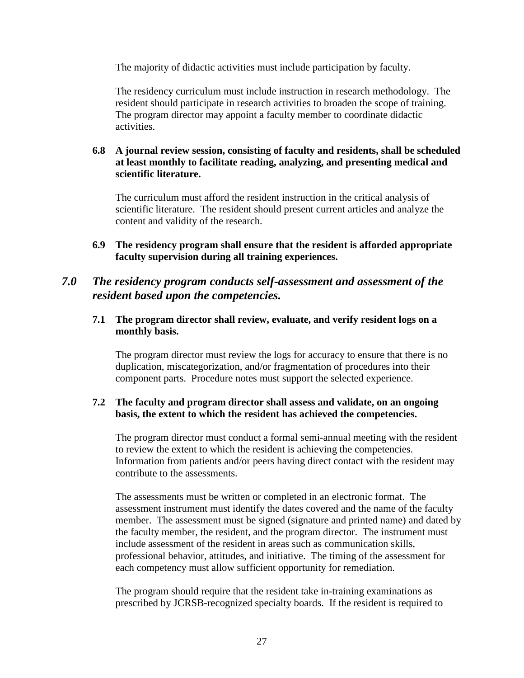The majority of didactic activities must include participation by faculty.

The residency curriculum must include instruction in research methodology. The resident should participate in research activities to broaden the scope of training. The program director may appoint a faculty member to coordinate didactic activities.

#### **6.8 A journal review session, consisting of faculty and residents, shall be scheduled at least monthly to facilitate reading, analyzing, and presenting medical and scientific literature.**

The curriculum must afford the resident instruction in the critical analysis of scientific literature. The resident should present current articles and analyze the content and validity of the research.

**6.9 The residency program shall ensure that the resident is afforded appropriate faculty supervision during all training experiences.** 

### *7.0 The residency program conducts self-assessment and assessment of the resident based upon the competencies.*

#### **7.1 The program director shall review, evaluate, and verify resident logs on a monthly basis.**

The program director must review the logs for accuracy to ensure that there is no duplication, miscategorization, and/or fragmentation of procedures into their component parts. Procedure notes must support the selected experience.

#### **7.2 The faculty and program director shall assess and validate, on an ongoing basis, the extent to which the resident has achieved the competencies.**

The program director must conduct a formal semi-annual meeting with the resident to review the extent to which the resident is achieving the competencies. Information from patients and/or peers having direct contact with the resident may contribute to the assessments.

The assessments must be written or completed in an electronic format. The assessment instrument must identify the dates covered and the name of the faculty member. The assessment must be signed (signature and printed name) and dated by the faculty member, the resident, and the program director. The instrument must include assessment of the resident in areas such as communication skills, professional behavior, attitudes, and initiative. The timing of the assessment for each competency must allow sufficient opportunity for remediation.

The program should require that the resident take in-training examinations as prescribed by JCRSB-recognized specialty boards. If the resident is required to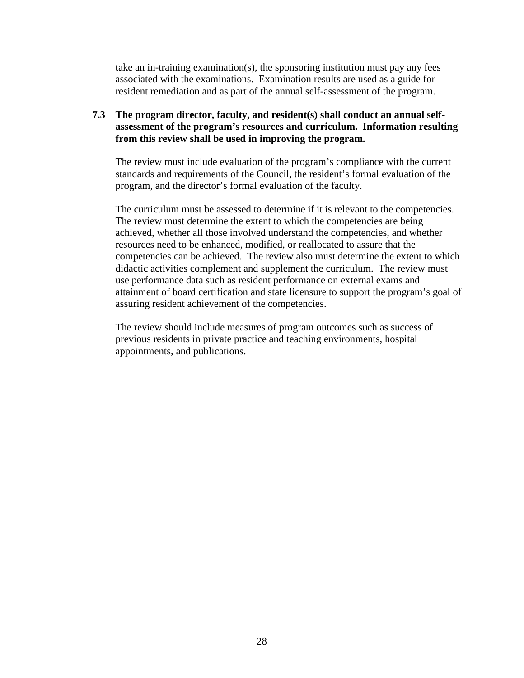take an in-training examination(s), the sponsoring institution must pay any fees associated with the examinations. Examination results are used as a guide for resident remediation and as part of the annual self-assessment of the program.

#### **7.3 The program director, faculty, and resident(s) shall conduct an annual selfassessment of the program's resources and curriculum. Information resulting from this review shall be used in improving the program.**

The review must include evaluation of the program's compliance with the current standards and requirements of the Council, the resident's formal evaluation of the program, and the director's formal evaluation of the faculty.

The curriculum must be assessed to determine if it is relevant to the competencies. The review must determine the extent to which the competencies are being achieved, whether all those involved understand the competencies, and whether resources need to be enhanced, modified, or reallocated to assure that the competencies can be achieved. The review also must determine the extent to which didactic activities complement and supplement the curriculum. The review must use performance data such as resident performance on external exams and attainment of board certification and state licensure to support the program's goal of assuring resident achievement of the competencies.

The review should include measures of program outcomes such as success of previous residents in private practice and teaching environments, hospital appointments, and publications.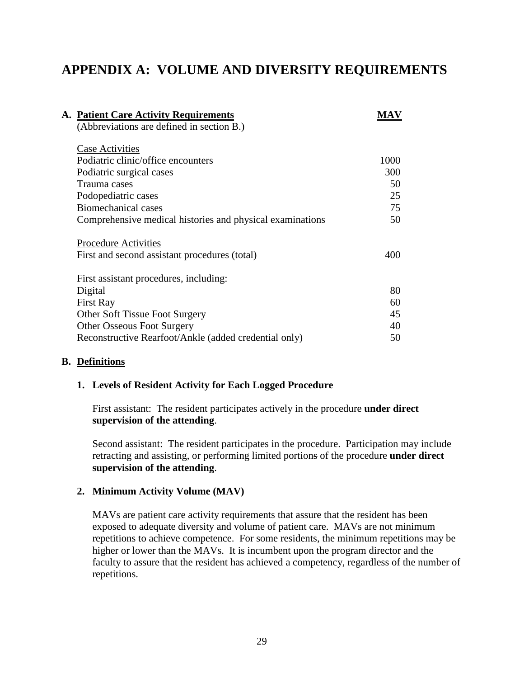# **APPENDIX A: VOLUME AND DIVERSITY REQUIREMENTS**

| <b>A. Patient Care Activity Requirements</b>              | MAV  |
|-----------------------------------------------------------|------|
| (Abbreviations are defined in section B.)                 |      |
|                                                           |      |
| <b>Case Activities</b>                                    |      |
| Podiatric clinic/office encounters                        | 1000 |
| Podiatric surgical cases                                  | 300  |
| Trauma cases                                              | 50   |
| Podopediatric cases                                       | 25   |
| Biomechanical cases                                       | 75   |
| Comprehensive medical histories and physical examinations | 50   |
|                                                           |      |
| <b>Procedure Activities</b>                               |      |
| First and second assistant procedures (total)             | 400  |
|                                                           |      |
| First assistant procedures, including:                    |      |
| Digital                                                   | 80   |
| <b>First Ray</b>                                          | 60   |
| <b>Other Soft Tissue Foot Surgery</b>                     | 45   |
| <b>Other Osseous Foot Surgery</b>                         | 40   |
| Reconstructive Rearfoot/Ankle (added credential only)     | 50   |
|                                                           |      |

#### **B. Definitions**

#### **1. Levels of Resident Activity for Each Logged Procedure**

First assistant:The resident participates actively in the procedure **under direct supervision of the attending**.

Second assistant:The resident participates in the procedure. Participation may include retracting and assisting, or performing limited portions of the procedure **under direct supervision of the attending**.

#### **2. Minimum Activity Volume (MAV)**

MAVs are patient care activity requirements that assure that the resident has been exposed to adequate diversity and volume of patient care. MAVs are not minimum repetitions to achieve competence. For some residents, the minimum repetitions may be higher or lower than the MAVs. It is incumbent upon the program director and the faculty to assure that the resident has achieved a competency, regardless of the number of repetitions.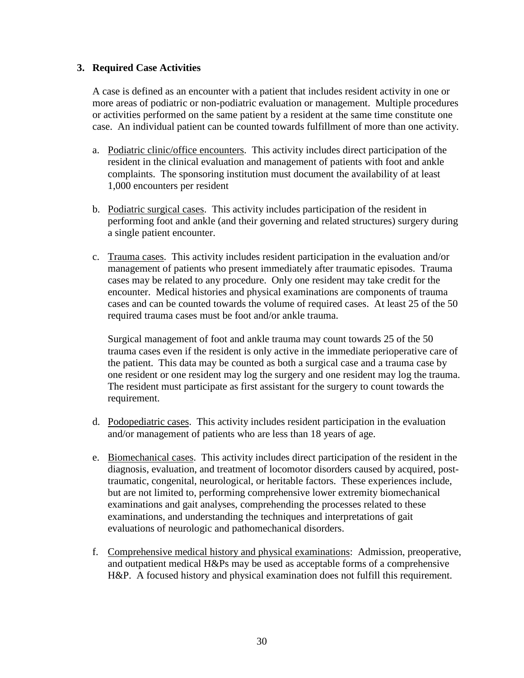#### **3. Required Case Activities**

A case is defined as an encounter with a patient that includes resident activity in one or more areas of podiatric or non-podiatric evaluation or management. Multiple procedures or activities performed on the same patient by a resident at the same time constitute one case. An individual patient can be counted towards fulfillment of more than one activity.

- a. Podiatric clinic/office encounters. This activity includes direct participation of the resident in the clinical evaluation and management of patients with foot and ankle complaints. The sponsoring institution must document the availability of at least 1,000 encounters per resident
- b. Podiatric surgical cases. This activity includes participation of the resident in performing foot and ankle (and their governing and related structures) surgery during a single patient encounter.
- c. Trauma cases. This activity includes resident participation in the evaluation and/or management of patients who present immediately after traumatic episodes. Trauma cases may be related to any procedure. Only one resident may take credit for the encounter. Medical histories and physical examinations are components of trauma cases and can be counted towards the volume of required cases. At least 25 of the 50 required trauma cases must be foot and/or ankle trauma.

Surgical management of foot and ankle trauma may count towards 25 of the 50 trauma cases even if the resident is only active in the immediate perioperative care of the patient. This data may be counted as both a surgical case and a trauma case by one resident or one resident may log the surgery and one resident may log the trauma. The resident must participate as first assistant for the surgery to count towards the requirement.

- d. Podopediatric cases. This activity includes resident participation in the evaluation and/or management of patients who are less than 18 years of age.
- e. Biomechanical cases. This activity includes direct participation of the resident in the diagnosis, evaluation, and treatment of locomotor disorders caused by acquired, posttraumatic, congenital, neurological, or heritable factors. These experiences include, but are not limited to, performing comprehensive lower extremity biomechanical examinations and gait analyses, comprehending the processes related to these examinations, and understanding the techniques and interpretations of gait evaluations of neurologic and pathomechanical disorders.
- f. Comprehensive medical history and physical examinations: Admission, preoperative, and outpatient medical H&Ps may be used as acceptable forms of a comprehensive H&P. A focused history and physical examination does not fulfill this requirement.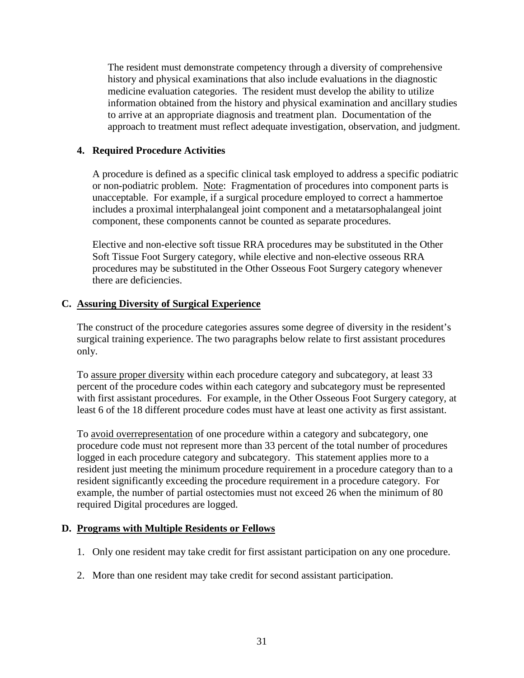The resident must demonstrate competency through a diversity of comprehensive history and physical examinations that also include evaluations in the diagnostic medicine evaluation categories. The resident must develop the ability to utilize information obtained from the history and physical examination and ancillary studies to arrive at an appropriate diagnosis and treatment plan. Documentation of the approach to treatment must reflect adequate investigation, observation, and judgment.

#### **4. Required Procedure Activities**

A procedure is defined as a specific clinical task employed to address a specific podiatric or non-podiatric problem. Note: Fragmentation of procedures into component parts is unacceptable. For example, if a surgical procedure employed to correct a hammertoe includes a proximal interphalangeal joint component and a metatarsophalangeal joint component, these components cannot be counted as separate procedures.

Elective and non-elective soft tissue RRA procedures may be substituted in the Other Soft Tissue Foot Surgery category, while elective and non-elective osseous RRA procedures may be substituted in the Other Osseous Foot Surgery category whenever there are deficiencies.

#### **C. Assuring Diversity of Surgical Experience**

The construct of the procedure categories assures some degree of diversity in the resident's surgical training experience. The two paragraphs below relate to first assistant procedures only.

To assure proper diversity within each procedure category and subcategory, at least 33 percent of the procedure codes within each category and subcategory must be represented with first assistant procedures. For example, in the Other Osseous Foot Surgery category, at least 6 of the 18 different procedure codes must have at least one activity as first assistant.

To avoid overrepresentation of one procedure within a category and subcategory, one procedure code must not represent more than 33 percent of the total number of procedures logged in each procedure category and subcategory. This statement applies more to a resident just meeting the minimum procedure requirement in a procedure category than to a resident significantly exceeding the procedure requirement in a procedure category. For example, the number of partial ostectomies must not exceed 26 when the minimum of 80 required Digital procedures are logged.

#### **D. Programs with Multiple Residents or Fellows**

- 1. Only one resident may take credit for first assistant participation on any one procedure.
- 2. More than one resident may take credit for second assistant participation.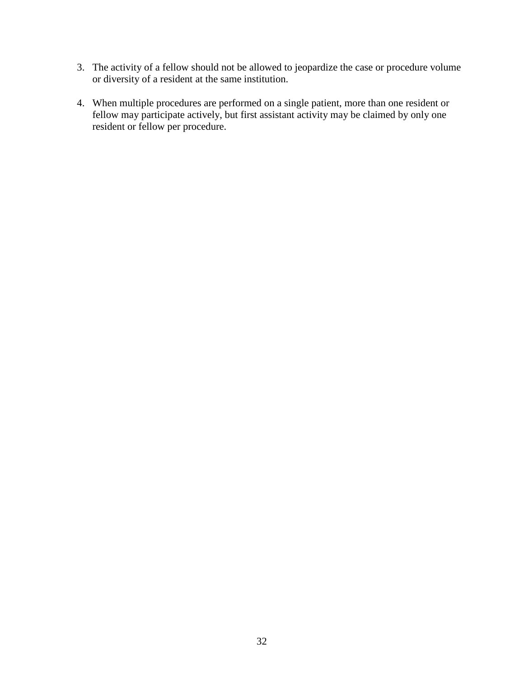- 3. The activity of a fellow should not be allowed to jeopardize the case or procedure volume or diversity of a resident at the same institution.
- 4. When multiple procedures are performed on a single patient, more than one resident or fellow may participate actively, but first assistant activity may be claimed by only one resident or fellow per procedure.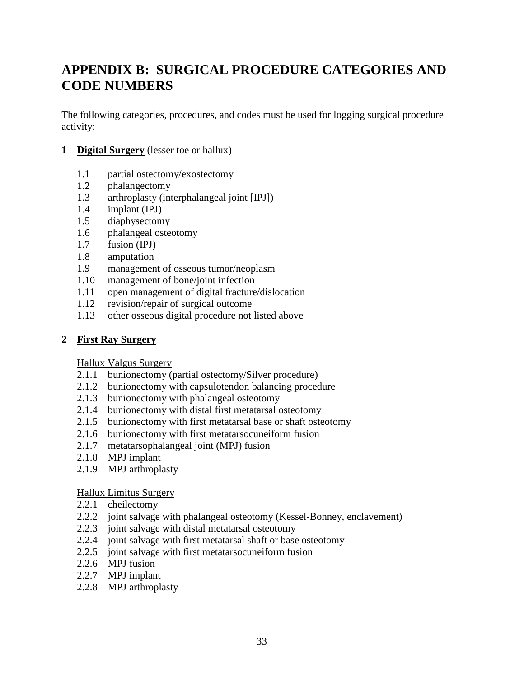# **APPENDIX B: SURGICAL PROCEDURE CATEGORIES AND CODE NUMBERS**

The following categories, procedures, and codes must be used for logging surgical procedure activity:

- **1 Digital Surgery** (lesser toe or hallux)
	- 1.1 partial ostectomy/exostectomy
	- 1.2 phalangectomy
	- 1.3 arthroplasty (interphalangeal joint [IPJ])
	- 1.4 implant (IPJ)
	- 1.5 diaphysectomy
	- 1.6 phalangeal osteotomy
	- 1.7 fusion (IPJ)
	- 1.8 amputation
	- 1.9 management of osseous tumor/neoplasm
	- 1.10 management of bone/joint infection
	- 1.11 open management of digital fracture/dislocation
	- 1.12 revision/repair of surgical outcome
	- 1.13 other osseous digital procedure not listed above

#### **2 First Ray Surgery**

Hallux Valgus Surgery

- 2.1.1 bunionectomy (partial ostectomy/Silver procedure)
- 2.1.2 bunionectomy with capsulotendon balancing procedure
- 2.1.3 bunionectomy with phalangeal osteotomy
- 2.1.4 bunionectomy with distal first metatarsal osteotomy
- 2.1.5 bunionectomy with first metatarsal base or shaft osteotomy
- 2.1.6 bunionectomy with first metatarsocuneiform fusion
- 2.1.7 metatarsophalangeal joint (MPJ) fusion
- 2.1.8 MPJ implant
- 2.1.9 MPJ arthroplasty

#### Hallux Limitus Surgery

- 2.2.1 cheilectomy
- 2.2.2 joint salvage with phalangeal osteotomy (Kessel-Bonney, enclavement)
- 2.2.3 joint salvage with distal metatarsal osteotomy
- 2.2.4 joint salvage with first metatarsal shaft or base osteotomy
- 2.2.5 joint salvage with first metatarsocuneiform fusion
- 2.2.6 MPJ fusion
- 2.2.7 MPJ implant
- 2.2.8 MPJ arthroplasty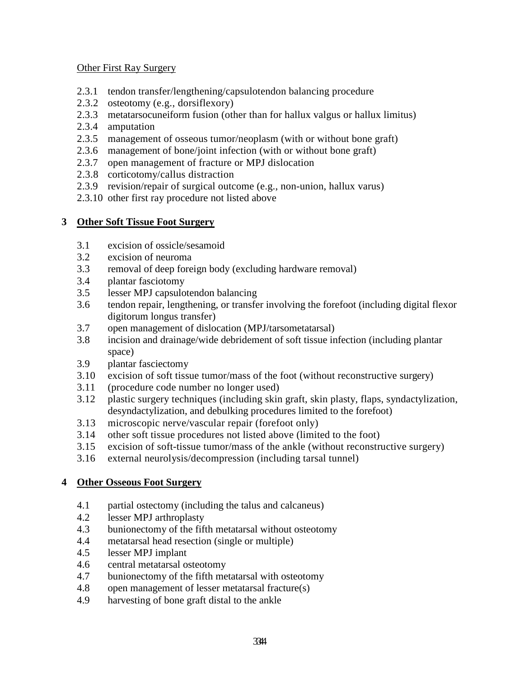#### Other First Ray Surgery

- 2.3.1 tendon transfer/lengthening/capsulotendon balancing procedure
- 2.3.2 osteotomy (e.g., dorsiflexory)
- 2.3.3 metatarsocuneiform fusion (other than for hallux valgus or hallux limitus)
- 2.3.4 amputation
- 2.3.5 management of osseous tumor/neoplasm (with or without bone graft)
- 2.3.6 management of bone/joint infection (with or without bone graft)
- 2.3.7 open management of fracture or MPJ dislocation
- 2.3.8 corticotomy/callus distraction
- 2.3.9 revision/repair of surgical outcome (e.g., non-union, hallux varus)
- 2.3.10 other first ray procedure not listed above

### **3 Other Soft Tissue Foot Surgery**

- 3.1 excision of ossicle/sesamoid
- 3.2 excision of neuroma
- 3.3 removal of deep foreign body (excluding hardware removal)
- 3.4 plantar fasciotomy
- 3.5 lesser MPJ capsulotendon balancing
- 3.6 tendon repair, lengthening, or transfer involving the forefoot (including digital flexor digitorum longus transfer)
- 3.7 open management of dislocation (MPJ/tarsometatarsal)
- 3.8 incision and drainage/wide debridement of soft tissue infection (including plantar space)
- 3.9 plantar fasciectomy
- 3.10 excision of soft tissue tumor/mass of the foot (without reconstructive surgery)
- 3.11 (procedure code number no longer used)
- 3.12 plastic surgery techniques (including skin graft, skin plasty, flaps, syndactylization, desyndactylization, and debulking procedures limited to the forefoot)
- 3.13 microscopic nerve/vascular repair (forefoot only)
- 3.14 other soft tissue procedures not listed above (limited to the foot)
- 3.15 excision of soft-tissue tumor/mass of the ankle (without reconstructive surgery)
- 3.16 external neurolysis/decompression (including tarsal tunnel)

### **4 Other Osseous Foot Surgery**

- 4.1 partial ostectomy (including the talus and calcaneus)
- 4.2 lesser MPJ arthroplasty
- 4.3 bunionectomy of the fifth metatarsal without osteotomy
- 4.4 metatarsal head resection (single or multiple)
- 4.5 lesser MPJ implant
- 4.6 central metatarsal osteotomy
- 4.7 bunionectomy of the fifth metatarsal with osteotomy
- 4.8 open management of lesser metatarsal fracture(s)
- 4.9 harvesting of bone graft distal to the ankle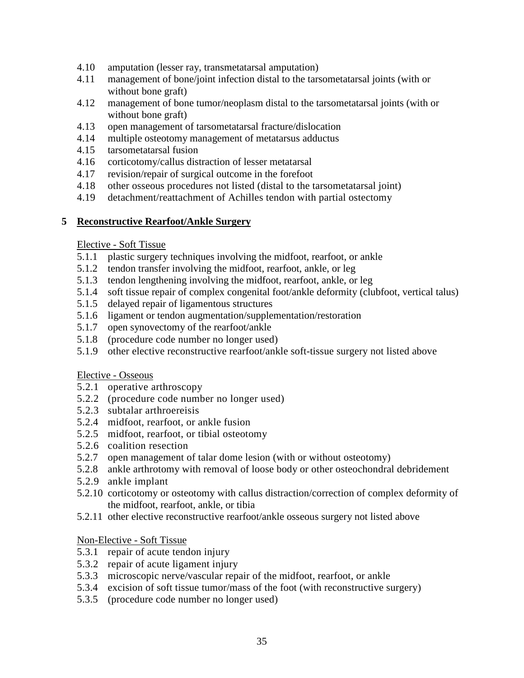- 4.10 amputation (lesser ray, transmetatarsal amputation)
- 4.11 management of bone/joint infection distal to the tarsometatarsal joints (with or without bone graft)
- 4.12 management of bone tumor/neoplasm distal to the tarsometatarsal joints (with or without bone graft)
- 4.13 open management of tarsometatarsal fracture/dislocation
- 4.14 multiple osteotomy management of metatarsus adductus
- 4.15 tarsometatarsal fusion
- 4.16 corticotomy/callus distraction of lesser metatarsal
- 4.17 revision/repair of surgical outcome in the forefoot
- 4.18 other osseous procedures not listed (distal to the tarsometatarsal joint)
- 4.19 detachment/reattachment of Achilles tendon with partial ostectomy

#### **5 Reconstructive Rearfoot/Ankle Surgery**

#### Elective - Soft Tissue

- 5.1.1 plastic surgery techniques involving the midfoot, rearfoot, or ankle
- 5.1.2 tendon transfer involving the midfoot, rearfoot, ankle, or leg
- 5.1.3 tendon lengthening involving the midfoot, rearfoot, ankle, or leg
- 5.1.4 soft tissue repair of complex congenital foot/ankle deformity (clubfoot, vertical talus)
- 5.1.5 delayed repair of ligamentous structures
- 5.1.6 ligament or tendon augmentation/supplementation/restoration
- 5.1.7 open synovectomy of the rearfoot/ankle
- 5.1.8 (procedure code number no longer used)
- 5.1.9 other elective reconstructive rearfoot/ankle soft-tissue surgery not listed above

#### Elective - Osseous

- 5.2.1 operative arthroscopy
- 5.2.2 (procedure code number no longer used)
- 5.2.3 subtalar arthroereisis
- 5.2.4 midfoot, rearfoot, or ankle fusion
- 5.2.5 midfoot, rearfoot, or tibial osteotomy
- 5.2.6 coalition resection
- 5.2.7 open management of talar dome lesion (with or without osteotomy)
- 5.2.8 ankle arthrotomy with removal of loose body or other osteochondral debridement
- 5.2.9 ankle implant
- 5.2.10 corticotomy or osteotomy with callus distraction/correction of complex deformity of the midfoot, rearfoot, ankle, or tibia
- 5.2.11 other elective reconstructive rearfoot/ankle osseous surgery not listed above

#### Non-Elective - Soft Tissue

- 5.3.1 repair of acute tendon injury
- 5.3.2 repair of acute ligament injury
- 5.3.3 microscopic nerve/vascular repair of the midfoot, rearfoot, or ankle
- 5.3.4 excision of soft tissue tumor/mass of the foot (with reconstructive surgery)
- 5.3.5 (procedure code number no longer used)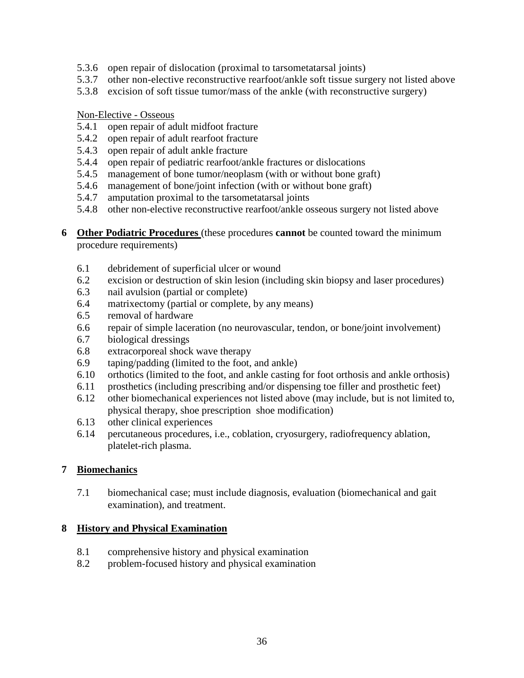- 5.3.6 open repair of dislocation (proximal to tarsometatarsal joints)
- 5.3.7 other non-elective reconstructive rearfoot/ankle soft tissue surgery not listed above
- 5.3.8 excision of soft tissue tumor/mass of the ankle (with reconstructive surgery)

Non-Elective - Osseous

- 5.4.1 open repair of adult midfoot fracture
- 5.4.2 open repair of adult rearfoot fracture
- 5.4.3 open repair of adult ankle fracture
- 5.4.4 open repair of pediatric rearfoot/ankle fractures or dislocations
- 5.4.5 management of bone tumor/neoplasm (with or without bone graft)
- 5.4.6 management of bone/joint infection (with or without bone graft)
- 5.4.7 amputation proximal to the tarsometatarsal joints
- 5.4.8 other non-elective reconstructive rearfoot/ankle osseous surgery not listed above
- **6 Other Podiatric Procedures** (these procedures **cannot** be counted toward the minimum procedure requirements)
	- 6.1 debridement of superficial ulcer or wound
	- 6.2 excision or destruction of skin lesion (including skin biopsy and laser procedures)
	- 6.3 nail avulsion (partial or complete)
	- 6.4 matrixectomy (partial or complete, by any means)
	- 6.5 removal of hardware
	- 6.6 repair of simple laceration (no neurovascular, tendon, or bone/joint involvement)
	- 6.7 biological dressings
	- 6.8 extracorporeal shock wave therapy
	- 6.9 taping/padding (limited to the foot, and ankle)
	- 6.10 orthotics (limited to the foot, and ankle casting for foot orthosis and ankle orthosis)
	- 6.11 prosthetics (including prescribing and/or dispensing toe filler and prosthetic feet)
	- 6.12 other biomechanical experiences not listed above (may include, but is not limited to, physical therapy, shoe prescription shoe modification)
	- 6.13 other clinical experiences
	- 6.14 percutaneous procedures, i.e., coblation, cryosurgery, radiofrequency ablation, platelet-rich plasma.

### **7 Biomechanics**

7.1 biomechanical case; must include diagnosis, evaluation (biomechanical and gait examination), and treatment.

#### **8 History and Physical Examination**

- 8.1 comprehensive history and physical examination
- 8.2 problem-focused history and physical examination